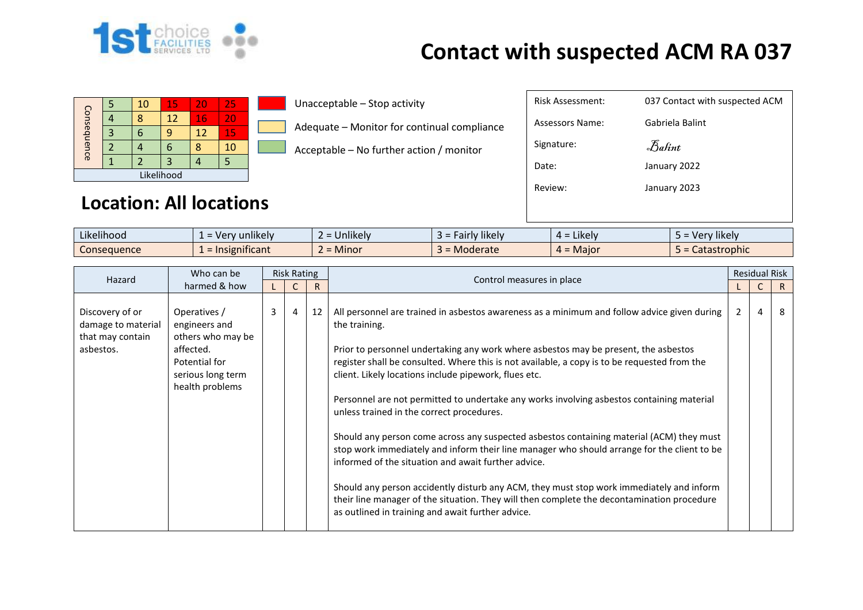

## **Contact with suspected ACM RA 037**

|             |  | 10 | 15 | 20                | 25 |  |  |  |
|-------------|--|----|----|-------------------|----|--|--|--|
| Consequence |  |    | 12 | 16                | 20 |  |  |  |
|             |  |    | 9  | $12 \overline{ }$ | 15 |  |  |  |
|             |  |    | 6  |                   | 10 |  |  |  |
|             |  |    | 3  |                   |    |  |  |  |
| Likelihood  |  |    |    |                   |    |  |  |  |

Unacceptable – Stop activity

Adequate – Monitor for continual compliance

Acceptable – No further action / monitor

| <b>Location: All locations</b> |
|--------------------------------|
|--------------------------------|

| $\cdots$<br>$\cdots$<br>Likelihood | $\cdots$<br>unlikely<br>$\cdot$ Ver<br>$-$ | Jnlikely<br>_ | $\cdots$<br><b>likely</b><br>airr. | $\cdots$<br>Likely<br><u>__</u> | Very likely' |
|------------------------------------|--------------------------------------------|---------------|------------------------------------|---------------------------------|--------------|
| Conseauence                        | .<br>$\mathbf{F}$ = Insignificant          | <b>Minor</b>  | Moderate                           | . = Maior                       | Catastrophic |

| Who can be<br>Hazard                                                   | <b>Risk Rating</b>                                                                                                       |   |   |    |                                                                                                                                                                                                                                                                                                                                                                                                                                                                                                                                                                                                                                                                                                                                                                                                                                                                                                                                                                                                         | <b>Residual Risk</b> |    |
|------------------------------------------------------------------------|--------------------------------------------------------------------------------------------------------------------------|---|---|----|---------------------------------------------------------------------------------------------------------------------------------------------------------------------------------------------------------------------------------------------------------------------------------------------------------------------------------------------------------------------------------------------------------------------------------------------------------------------------------------------------------------------------------------------------------------------------------------------------------------------------------------------------------------------------------------------------------------------------------------------------------------------------------------------------------------------------------------------------------------------------------------------------------------------------------------------------------------------------------------------------------|----------------------|----|
| harmed & how                                                           |                                                                                                                          |   |   |    | Control measures in place                                                                                                                                                                                                                                                                                                                                                                                                                                                                                                                                                                                                                                                                                                                                                                                                                                                                                                                                                                               |                      | R  |
| Discovery of or<br>damage to material<br>that may contain<br>asbestos. | Operatives /<br>engineers and<br>others who may be<br>affected.<br>Potential for<br>serious long term<br>health problems | 3 | 4 | 12 | All personnel are trained in asbestos awareness as a minimum and follow advice given during<br>the training.<br>Prior to personnel undertaking any work where asbestos may be present, the asbestos<br>register shall be consulted. Where this is not available, a copy is to be requested from the<br>client. Likely locations include pipework, flues etc.<br>Personnel are not permitted to undertake any works involving asbestos containing material<br>unless trained in the correct procedures.<br>Should any person come across any suspected asbestos containing material (ACM) they must<br>stop work immediately and inform their line manager who should arrange for the client to be<br>informed of the situation and await further advice.<br>Should any person accidently disturb any ACM, they must stop work immediately and inform<br>their line manager of the situation. They will then complete the decontamination procedure<br>as outlined in training and await further advice. | $\mathcal{P}$        | -8 |